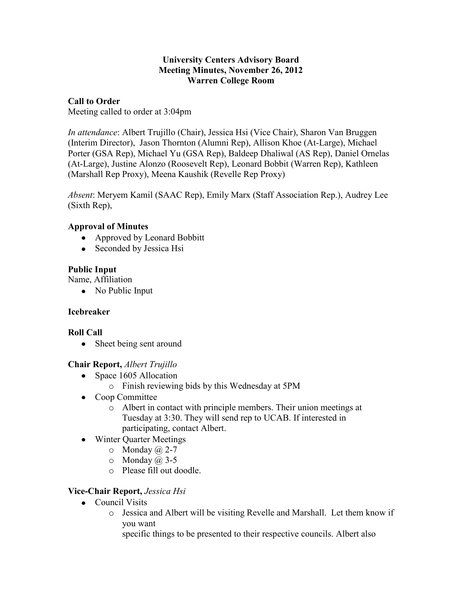#### **University Centers Advisory Board Meeting Minutes, November 26, 2012 Warren College Room**

### **Call to Order**

Meeting called to order at 3:04pm

*In attendance*: Albert Trujillo (Chair), Jessica Hsi (Vice Chair), Sharon Van Bruggen (Interim Director), Jason Thornton (Alumni Rep), Allison Khoe (At-Large), Michael Porter (GSA Rep), Michael Yu (GSA Rep), Baldeep Dhaliwal (AS Rep), Daniel Ornelas (At-Large), Justine Alonzo (Roosevelt Rep), Leonard Bobbit (Warren Rep), Kathleen (Marshall Rep Proxy), Meena Kaushik (Revelle Rep Proxy)

*Absent*: Meryem Kamil (SAAC Rep), Emily Marx (Staff Association Rep.), Audrey Lee (Sixth Rep),

## **Approval of Minutes**

- Approved by Leonard Bobbitt
- Seconded by Jessica Hsi

## **Public Input**

Name, Affiliation

• No Public Input

### **Icebreaker**

# **Roll Call**

• Sheet being sent around

# **Chair Report,** *Albert Trujillo*

- Space 1605 Allocation
	- o Finish reviewing bids by this Wednesday at 5PM
- Coop Committee
	- o Albert in contact with principle members. Their union meetings at Tuesday at 3:30. They will send rep to UCAB. If interested in participating, contact Albert.
- Winter Quarter Meetings
	- $\circ$  Monday  $\omega$  2-7
	- $\circ$  Monday  $\omega$  3-5
	- o Please fill out doodle.

# **Vice-Chair Report,** *Jessica Hsi*

- Council Visits
	- o Jessica and Albert will be visiting Revelle and Marshall. Let them know if you want

specific things to be presented to their respective councils. Albert also